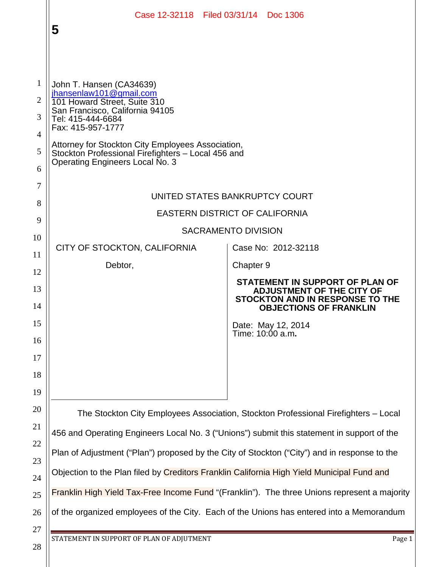|                                                           | Case 12-32118 Filed 03/31/14 Doc 1306<br>5                                                                                                                                                                                                                                                                     |                                                                                                      |
|-----------------------------------------------------------|----------------------------------------------------------------------------------------------------------------------------------------------------------------------------------------------------------------------------------------------------------------------------------------------------------------|------------------------------------------------------------------------------------------------------|
| 1<br>$\overline{2}$<br>3<br>$\overline{4}$<br>5<br>6<br>7 | John T. Hansen (CA34639)<br>jhansenlaw101@gmail.com<br>101 Howard Street, Suite 310<br>San Francisco, California 94105<br>Tel: 415-444-6684<br>Fax: 415-957-1777<br>Attorney for Stockton City Employees Association,<br>Stockton Professional Firefighters - Local 456 and<br>Operating Engineers Local No. 3 | UNITED STATES BANKRUPTCY COURT                                                                       |
| 8                                                         | <b>EASTERN DISTRICT OF CALIFORNIA</b>                                                                                                                                                                                                                                                                          |                                                                                                      |
| 9                                                         | <b>SACRAMENTO DIVISION</b>                                                                                                                                                                                                                                                                                     |                                                                                                      |
| 10                                                        | CITY OF STOCKTON, CALIFORNIA                                                                                                                                                                                                                                                                                   | Case No: 2012-32118                                                                                  |
| 11                                                        | Debtor,                                                                                                                                                                                                                                                                                                        | Chapter 9                                                                                            |
| 12                                                        |                                                                                                                                                                                                                                                                                                                | STATEMENT IN SUPPORT OF PLAN OF                                                                      |
| 13<br>14                                                  |                                                                                                                                                                                                                                                                                                                | <b>ADJUSTMENT OF THE CITY OF</b><br>STOCKTON AND IN RESPONSE TO THE<br><b>OBJECTIONS OF FRANKLIN</b> |
| 15<br>16                                                  |                                                                                                                                                                                                                                                                                                                | Date: May 12, 2014<br>Time: 10:00 a.m.                                                               |
| 17                                                        |                                                                                                                                                                                                                                                                                                                |                                                                                                      |
| 18                                                        |                                                                                                                                                                                                                                                                                                                |                                                                                                      |
| 19                                                        |                                                                                                                                                                                                                                                                                                                |                                                                                                      |
| 20                                                        | The Stockton City Employees Association, Stockton Professional Firefighters - Local                                                                                                                                                                                                                            |                                                                                                      |
| 21                                                        | 456 and Operating Engineers Local No. 3 ("Unions") submit this statement in support of the                                                                                                                                                                                                                     |                                                                                                      |
| 22<br>23                                                  | Plan of Adjustment ("Plan") proposed by the City of Stockton ("City") and in response to the                                                                                                                                                                                                                   |                                                                                                      |
| 24                                                        | Objection to the Plan filed by Creditors Franklin California High Yield Municipal Fund and                                                                                                                                                                                                                     |                                                                                                      |
| 25                                                        | Franklin High Yield Tax-Free Income Fund "(Franklin"). The three Unions represent a majority                                                                                                                                                                                                                   |                                                                                                      |
| 26                                                        | of the organized employees of the City. Each of the Unions has entered into a Memorandum                                                                                                                                                                                                                       |                                                                                                      |
| 27                                                        |                                                                                                                                                                                                                                                                                                                |                                                                                                      |
| 28                                                        | STATEMENT IN SUPPORT OF PLAN OF ADJUTMENT<br>Page 1                                                                                                                                                                                                                                                            |                                                                                                      |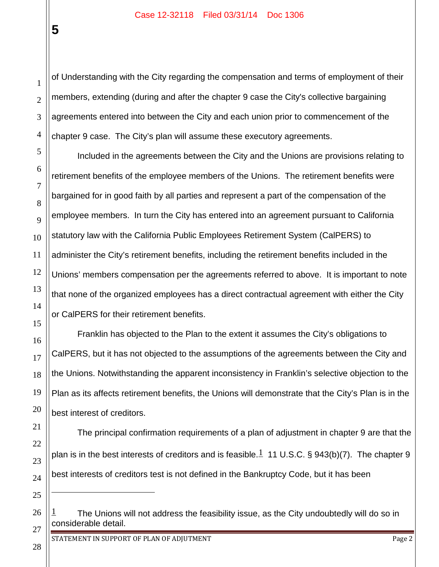2 3 4 of Understanding with the City regarding the compensation and terms of employment of their members, extending (during and after the chapter 9 case the City's collective bargaining agreements entered into between the City and each union prior to commencement of the chapter 9 case. The City's plan will assume these executory agreements.

Included in the agreements between the City and the Unions are provisions relating to retirement benefits of the employee members of the Unions. The retirement benefits were bargained for in good faith by all parties and represent a part of the compensation of the employee members. In turn the City has entered into an agreement pursuant to California statutory law with the California Public Employees Retirement System (CalPERS) to administer the City's retirement benefits, including the retirement benefits included in the Unions' members compensation per the agreements referred to above. It is important to note that none of the organized employees has a direct contractual agreement with either the City or CalPERS for their retirement benefits.

Franklin has objected to the Plan to the extent it assumes the City's obligations to CalPERS, but it has not objected to the assumptions of the agreements between the City and the Unions. Notwithstanding the apparent inconsistency in Franklin's selective objection to the Plan as its affects retirement benefits, the Unions will demonstrate that the City's Plan is in the best interest of creditors.

The principal confirmation requirements of a plan of adjustment in chapter 9 are that the plan is in the best interests of creditors and is feasible. $1\overline{1}$  11 U.S.C. § 943(b)(7). The chapter 9 best interests of creditors test is not defined in the Bankruptcy Code, but it has been

STATEMENT IN SUPPORT OF PLAN OF ADJUTMENT **Page 2** Page 2

**5**

1

5

6

7

8

9

10

11

12

13

14

 $\overline{a}$ 

The Unions will not address the feasibility issue, as the City undoubtedly will do so in considerable detail.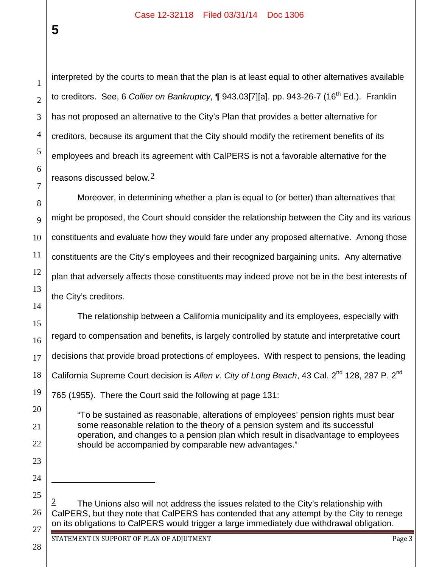**5**

1

2

3

4

5

6

7

8

9

10

11

interpreted by the courts to mean that the plan is at least equal to other alternatives available to creditors. See, 6 *Collier on Bankruptcy*, ¶ 943.03[7][a]. pp. 943-26-7 (16th Ed.). Franklin has not proposed an alternative to the City's Plan that provides a better alternative for creditors, because its argument that the City should modify the retirement benefits of its employees and breach its agreement with CalPERS is not a favorable alternative for the reasons discussed below. $2$ 

Moreover, in determining whether a plan is equal to (or better) than alternatives that might be proposed, the Court should consider the relationship between the City and its various constituents and evaluate how they would fare under any proposed alternative. Among those constituents are the City's employees and their recognized bargaining units. Any alternative plan that adversely affects those constituents may indeed prove not be in the best interests of the City's creditors.

The relationship between a California municipality and its employees, especially with regard to compensation and benefits, is largely controlled by statute and interpretative court decisions that provide broad protections of employees. With respect to pensions, the leading California Supreme Court decision is Allen v. City of Long Beach, 43 Cal. 2<sup>nd</sup> 128, 287 P. 2<sup>nd</sup> 765 (1955). There the Court said the following at page 131:

"To be sustained as reasonable, alterations of employees' pension rights must bear some reasonable relation to the theory of a pension system and its successful operation, and changes to a pension plan which result in disadvantage to employees should be accompanied by comparable new advantages."

The Unions also will not address the issues related to the City's relationship with CalPERS, but they note that CalPERS has contended that any attempt by the City to renege on its obligations to CalPERS would trigger a large immediately due withdrawal obligation.

 $\overline{a}$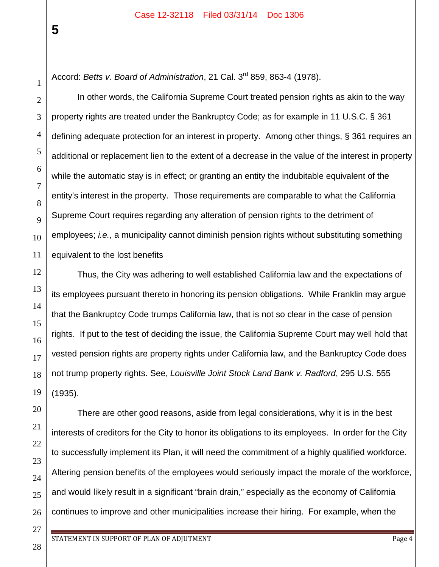Accord: *Betts v. Board of Administration*, 21 Cal. 3rd 859, 863-4 (1978).

In other words, the California Supreme Court treated pension rights as akin to the way property rights are treated under the Bankruptcy Code; as for example in 11 U.S.C. § 361 defining adequate protection for an interest in property. Among other things, § 361 requires an additional or replacement lien to the extent of a decrease in the value of the interest in property while the automatic stay is in effect; or granting an entity the indubitable equivalent of the entity's interest in the property. Those requirements are comparable to what the California Supreme Court requires regarding any alteration of pension rights to the detriment of employees; *i.e.*, a municipality cannot diminish pension rights without substituting something equivalent to the lost benefits

Thus, the City was adhering to well established California law and the expectations of its employees pursuant thereto in honoring its pension obligations. While Franklin may argue that the Bankruptcy Code trumps California law, that is not so clear in the case of pension rights. If put to the test of deciding the issue, the California Supreme Court may well hold that vested pension rights are property rights under California law, and the Bankruptcy Code does not trump property rights. See, *Louisville Joint Stock Land Bank v. Radford*, 295 U.S. 555 (1935).

There are other good reasons, aside from legal considerations, why it is in the best interests of creditors for the City to honor its obligations to its employees. In order for the City to successfully implement its Plan, it will need the commitment of a highly qualified workforce. Altering pension benefits of the employees would seriously impact the morale of the workforce, and would likely result in a significant "brain drain," especially as the economy of California continues to improve and other municipalities increase their hiring. For example, when the

28

**5**

1

2

3

4

5

6

7

8

9

10

11

12

13

14

15

16

17

18

19

20

21

22

23

24

25

26

27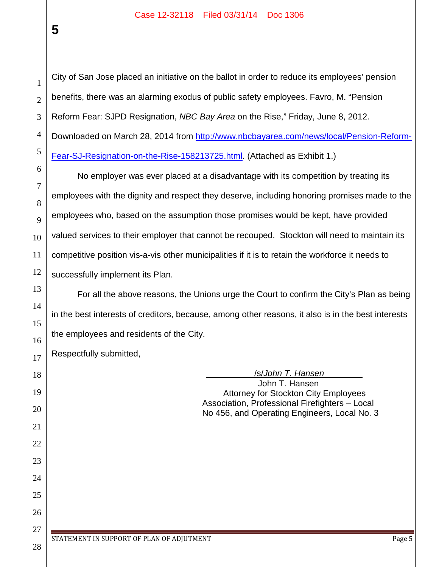**5**

1 2 3 4 5 6 7 8 9 10 11 12 13 14 15 16 17 18 19 20 21 22 23 24 25 26 27 28 City of San Jose placed an initiative on the ballot in order to reduce its employees' pension benefits, there was an alarming exodus of public safety employees. Favro, M. "Pension Reform Fear: SJPD Resignation, *NBC Bay Area* on the Rise," Friday, June 8, 2012. Downloaded on March 28, 2014 from http://www.nbcbayarea.com/news/local/Pension-Reform-Fear-SJ-Resignation-on-the-Rise-158213725.html. (Attached as Exhibit 1.) No employer was ever placed at a disadvantage with its competition by treating its employees with the dignity and respect they deserve, including honoring promises made to the employees who, based on the assumption those promises would be kept, have provided valued services to their employer that cannot be recouped. Stockton will need to maintain its competitive position vis-a-vis other municipalities if it is to retain the workforce it needs to successfully implement its Plan. For all the above reasons, the Unions urge the Court to confirm the City's Plan as being in the best interests of creditors, because, among other reasons, it also is in the best interests the employees and residents of the City. Respectfully submitted, \_\_\_\_\_\_\_\_\_\_/s/*John T. Hansen*\_\_\_\_\_\_\_\_ John T. Hansen Attorney for Stockton City Employees Association, Professional Firefighters – Local No 456, and Operating Engineers, Local No. 3 STATEMENT IN SUPPORT OF PLAN OF ADJUTMENT **Page 5** and the state of the state of the state of the state of the sta